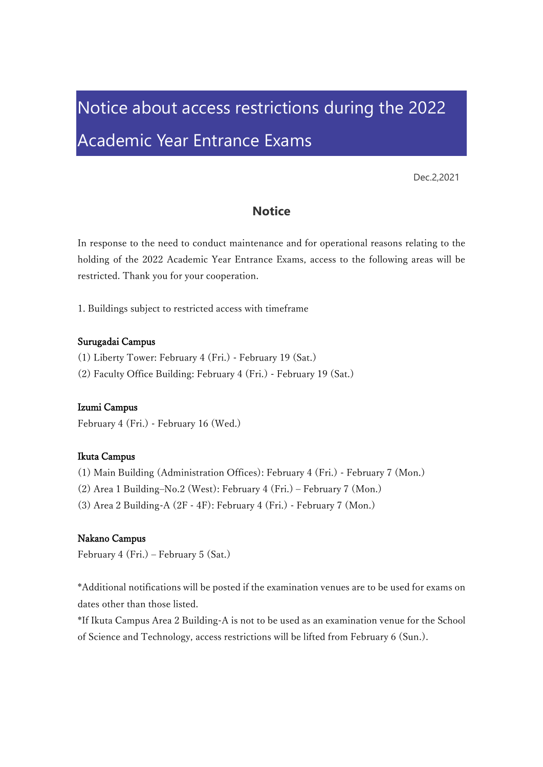# Notice about access restrictions during the 2022 Academic Year Entrance Exams

Dec.2,2021

## **Notice**

In response to the need to conduct maintenance and for operational reasons relating to the holding of the 2022 Academic Year Entrance Exams, access to the following areas will be restricted. Thank you for your cooperation.

1. Buildings subject to restricted access with timeframe

#### Surugadai Campus

- (1) Liberty Tower: February 4 (Fri.) February 19 (Sat.)
- (2) Faculty Office Building: February 4 (Fri.) February 19 (Sat.)

#### Izumi Campus

February 4 (Fri.) - February 16 (Wed.)

### Ikuta Campus

- (1) Main Building (Administration Offices): February 4 (Fri.) February 7 (Mon.)
- (2) Area 1 Building–No.2 (West): February 4 (Fri.) February 7 (Mon.)
- (3) Area 2 Building-A (2F 4F): February 4 (Fri.) February 7 (Mon.)

#### Nakano Campus

February 4 (Fri.) – February 5 (Sat.)

\*Additional notifications will be posted if the examination venues are to be used for exams on dates other than those listed.

\*If Ikuta Campus Area 2 Building-A is not to be used as an examination venue for the School of Science and Technology, access restrictions will be lifted from February 6 (Sun.).